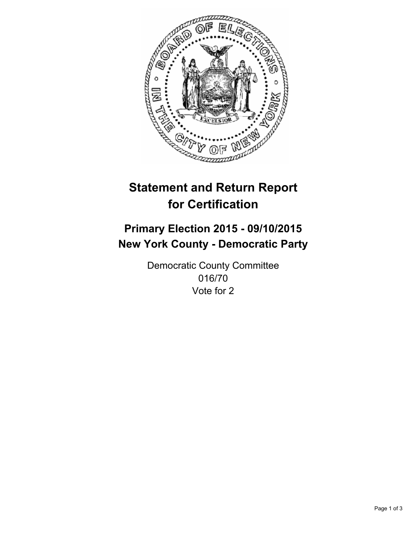

# **Statement and Return Report for Certification**

## **Primary Election 2015 - 09/10/2015 New York County - Democratic Party**

Democratic County Committee 016/70 Vote for 2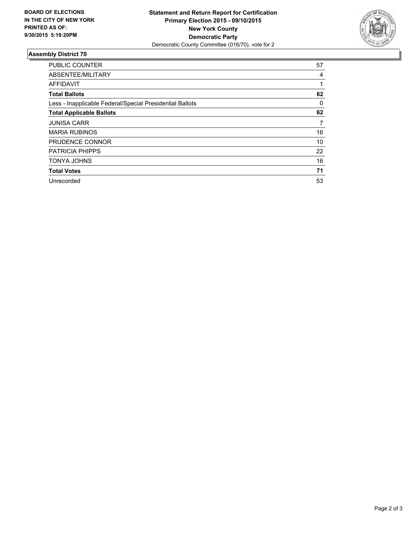

#### **Assembly District 70**

| <b>PUBLIC COUNTER</b>                                    | 57 |
|----------------------------------------------------------|----|
| ABSENTEE/MILITARY                                        | 4  |
| <b>AFFIDAVIT</b>                                         |    |
| <b>Total Ballots</b>                                     | 62 |
| Less - Inapplicable Federal/Special Presidential Ballots | 0  |
| <b>Total Applicable Ballots</b>                          | 62 |
| <b>JUNISA CARR</b>                                       | 7  |
| <b>MARIA RUBINOS</b>                                     | 16 |
| PRUDENCE CONNOR                                          | 10 |
| <b>PATRICIA PHIPPS</b>                                   | 22 |
| TONYA JOHNS                                              | 16 |
| <b>Total Votes</b>                                       | 71 |
| Unrecorded                                               | 53 |